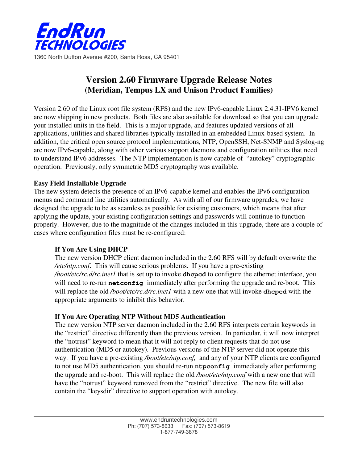

1360 North Dutton Avenue #200, Santa Rosa, CA 95401

# **Version 2.60 Firmware Upgrade Release Notes (Meridian, Tempus LX and Unison Product Families)**

Version 2.60 of the Linux root file system (RFS) and the new IPv6-capable Linux 2.4.31-IPV6 kernel are now shipping in new products. Both files are also available for download so that you can upgrade your installed units in the field. This is a major upgrade, and features updated versions of all applications, utilities and shared libraries typically installed in an embedded Linux-based system. In addition, the critical open source protocol implementations, NTP, OpenSSH, Net-SNMP and Syslog-ng are now IPv6-capable, along with other various support daemons and configuration utilities that need to understand IPv6 addresses. The NTP implementation is now capable of "autokey" cryptographic operation. Previously, only symmetric MD5 cryptography was available.

## **Easy Field Installable Upgrade**

The new system detects the presence of an IPv6-capable kernel and enables the IPv6 configuration menus and command line utilities automatically. As with all of our firmware upgrades, we have designed the upgrade to be as seamless as possible for existing customers, which means that after applying the update, your existing configuration settings and passwords will continue to function properly. However, due to the magnitude of the changes included in this upgrade, there are a couple of cases where configuration files must be re-configured:

# **If You Are Using DHCP**

The new version DHCP client daemon included in the 2.60 RFS will by default overwrite the */etc/ntp.conf*. This will cause serious problems. If you have a pre-existing */boot/etc/rc.d/rc.inet1* that is set up to invoke **dhcpcd** to configure the ethernet interface, you will need to re-run **netconfig** immediately after performing the upgrade and re-boot. This will replace the old */boot/etc/rc.d/rc.inet1* with a new one that will invoke **dhcpcd** with the appropriate arguments to inhibit this behavior.

# **If You Are Operating NTP Without MD5 Authentication**

The new version NTP server daemon included in the 2.60 RFS interprets certain keywords in the "restrict" directive differently than the previous version. In particular, it will now interpret the "notrust" keyword to mean that it will not reply to client requests that do not use authentication (MD5 or autokey). Previous versions of the NTP server did not operate this way. If you have a pre-existing */boot/etc/ntp.conf,* and any of your NTP clients are configured to not use MD5 authentication, you should re-run **ntpconfig** immediately after performing the upgrade and re-boot. This will replace the old */boot/etc/ntp.conf* with a new one that will have the "notrust" keyword removed from the "restrict" directive. The new file will also contain the "keysdir" directive to support operation with autokey.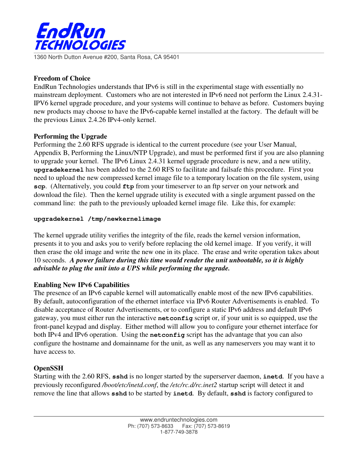

1360 North Dutton Avenue #200, Santa Rosa, CA 95401

### **Freedom of Choice**

EndRun Technologies understands that IPv6 is still in the experimental stage with essentially no mainstream deployment. Customers who are not interested in IPv6 need not perform the Linux 2.4.31- IPV6 kernel upgrade procedure, and your systems will continue to behave as before. Customers buying new products may choose to have the IPv6-capable kernel installed at the factory. The default will be the previous Linux 2.4.26 IPv4-only kernel.

#### **Performing the Upgrade**

Performing the 2.60 RFS upgrade is identical to the current procedure (see your User Manual, Appendix B, Performing the Linux/NTP Upgrade), and must be performed first if you are also planning to upgrade your kernel. The IPv6 Linux 2.4.31 kernel upgrade procedure is new, and a new utility, **upgradekernel** has been added to the 2.60 RFS to facilitate and failsafe this procedure. First you need to upload the new compressed kernel image file to a temporary location on the file system, using **scp.** (Alternatively, you could  $ftp$  from your timeserver to an ftp server on your network and download the file). Then the kernel upgrade utility is executed with a single argument passed on the command line: the path to the previously uploaded kernel image file. Like this, for example:

#### **upgradekernel /tmp/newkernelimage**

The kernel upgrade utility verifies the integrity of the file, reads the kernel version information, presents it to you and asks you to verify before replacing the old kernel image. If you verify, it will then erase the old image and write the new one in its place. The erase and write operation takes about 10 seconds. *A power failure during this time would render the unit unbootable, so it is highly advisable to plug the unit into a UPS while performing the upgrade.*

## **Enabling New IPv6 Capabilities**

The presence of an IPv6 capable kernel will automatically enable most of the new IPv6 capabilities. By default, autoconfiguration of the ethernet interface via IPv6 Router Advertisements is enabled. To disable acceptance of Router Advertisements, or to configure a static IPv6 address and default IPv6 gateway, you must either run the interactive **netconfig** script or, if your unit is so equipped, use the front-panel keypad and display. Either method will allow you to configure your ethernet interface for both IPv4 and IPv6 operation. Using the **netconfig** script has the advantage that you can also configure the hostname and domainname for the unit, as well as any nameservers you may want it to have access to.

## **OpenSSH**

Starting with the 2.60 RFS, **sshd** is no longer started by the superserver daemon, **inetd**. If you have a previously reconfigured */boot/etc/inetd.conf*, the */etc/rc.d/rc.inet2* startup script will detect it and remove the line that allows **sshd** to be started by **inetd**. By default, **sshd** is factory configured to